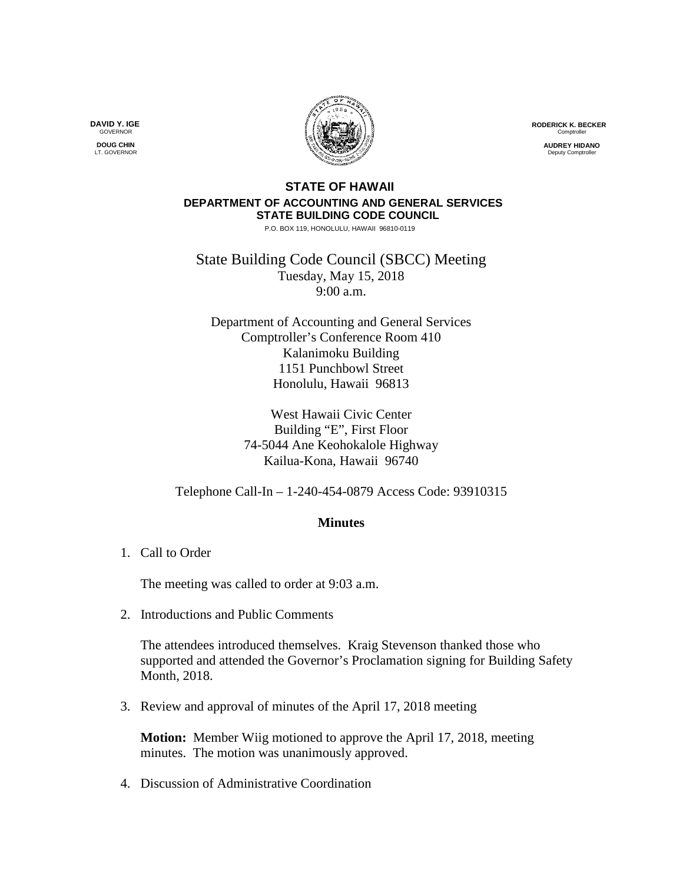**RODERICK K. BECKER** Comptrolle

> **AUDREY HIDANO Deputy Comptroll**

## **STATE OF HAWAII DEPARTMENT OF ACCOUNTING AND GENERAL SERVICES STATE BUILDING CODE COUNCIL**

P.O. BOX 119, HONOLULU, HAWAII 96810-0119

State Building Code Council (SBCC) Meeting Tuesday, May 15, 2018 9:00 a.m.

Department of Accounting and General Services Comptroller's Conference Room 410 Kalanimoku Building 1151 Punchbowl Street Honolulu, Hawaii 96813

> West Hawaii Civic Center Building "E", First Floor 74-5044 Ane Keohokalole Highway Kailua-Kona, Hawaii 96740

Telephone Call-In – 1-240-454-0879 Access Code: 93910315

## **Minutes**

1. Call to Order

The meeting was called to order at 9:03 a.m.

2. Introductions and Public Comments

The attendees introduced themselves. Kraig Stevenson thanked those who supported and attended the Governor's Proclamation signing for Building Safety Month, 2018.

3. Review and approval of minutes of the April 17, 2018 meeting

**Motion:** Member Wiig motioned to approve the April 17, 2018, meeting minutes. The motion was unanimously approved.

4. Discussion of Administrative Coordination

**DAVID Y. IGE GOVERNOR DOUG CHIN**

LT. GOVERNOR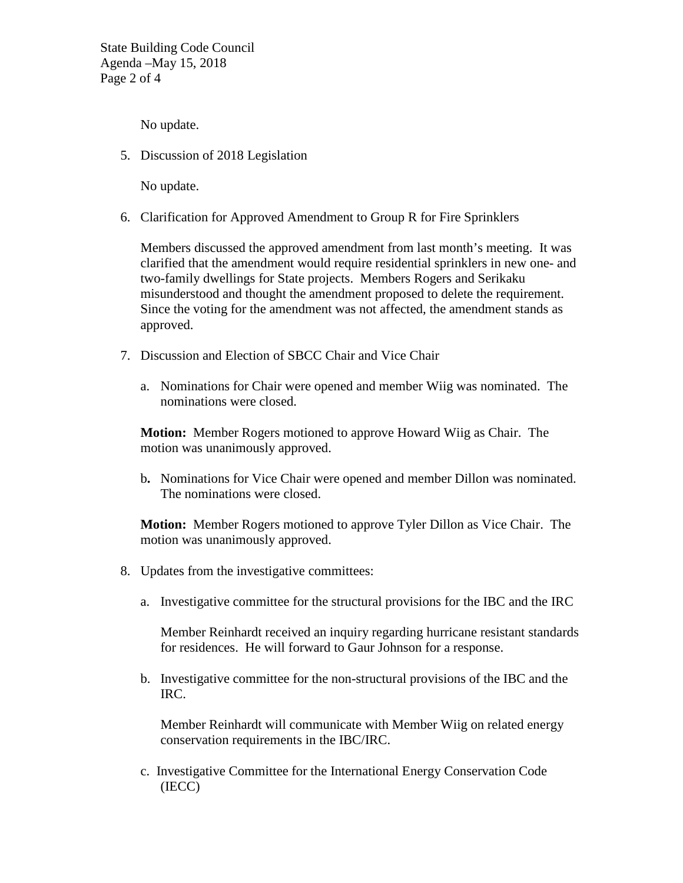State Building Code Council Agenda –May 15, 2018 Page 2 of 4

No update.

5. Discussion of 2018 Legislation

No update.

6. Clarification for Approved Amendment to Group R for Fire Sprinklers

Members discussed the approved amendment from last month's meeting. It was clarified that the amendment would require residential sprinklers in new one- and two-family dwellings for State projects. Members Rogers and Serikaku misunderstood and thought the amendment proposed to delete the requirement. Since the voting for the amendment was not affected, the amendment stands as approved.

- 7. Discussion and Election of SBCC Chair and Vice Chair
	- a. Nominations for Chair were opened and member Wiig was nominated. The nominations were closed.

**Motion:** Member Rogers motioned to approve Howard Wiig as Chair. The motion was unanimously approved.

b**.** Nominations for Vice Chair were opened and member Dillon was nominated. The nominations were closed.

**Motion:** Member Rogers motioned to approve Tyler Dillon as Vice Chair. The motion was unanimously approved.

- 8. Updates from the investigative committees:
	- a. Investigative committee for the structural provisions for the IBC and the IRC

Member Reinhardt received an inquiry regarding hurricane resistant standards for residences. He will forward to Gaur Johnson for a response.

b. Investigative committee for the non-structural provisions of the IBC and the IRC.

Member Reinhardt will communicate with Member Wiig on related energy conservation requirements in the IBC/IRC.

c. Investigative Committee for the International Energy Conservation Code (IECC)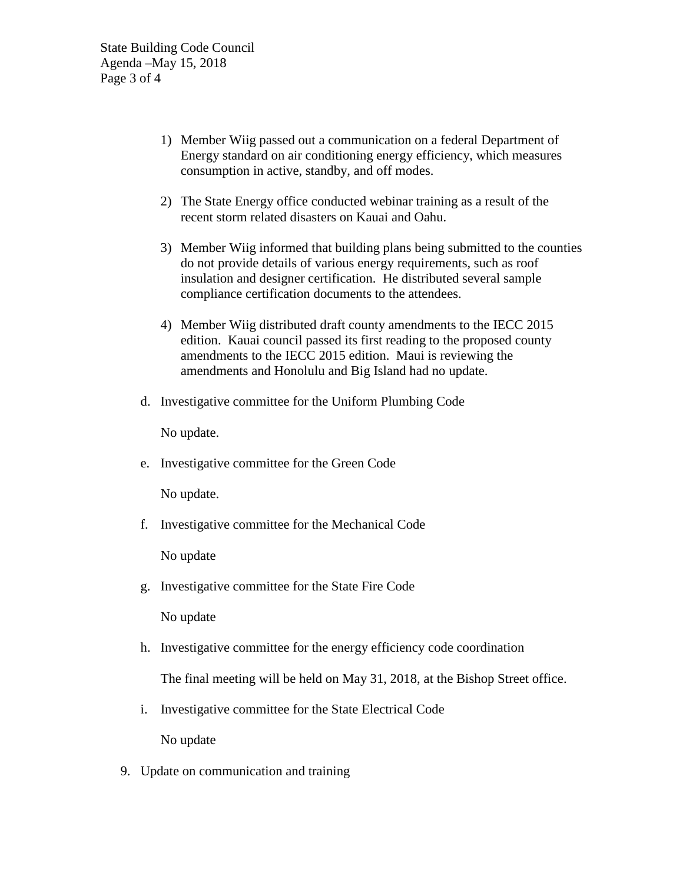State Building Code Council Agenda –May 15, 2018 Page 3 of 4

- 1) Member Wiig passed out a communication on a federal Department of Energy standard on air conditioning energy efficiency, which measures consumption in active, standby, and off modes.
- 2) The State Energy office conducted webinar training as a result of the recent storm related disasters on Kauai and Oahu.
- 3) Member Wiig informed that building plans being submitted to the counties do not provide details of various energy requirements, such as roof insulation and designer certification. He distributed several sample compliance certification documents to the attendees.
- 4) Member Wiig distributed draft county amendments to the IECC 2015 edition. Kauai council passed its first reading to the proposed county amendments to the IECC 2015 edition. Maui is reviewing the amendments and Honolulu and Big Island had no update.
- d. Investigative committee for the Uniform Plumbing Code

No update.

e. Investigative committee for the Green Code

No update.

f. Investigative committee for the Mechanical Code

No update

g. Investigative committee for the State Fire Code

No update

h. Investigative committee for the energy efficiency code coordination

The final meeting will be held on May 31, 2018, at the Bishop Street office.

i. Investigative committee for the State Electrical Code

No update

9. Update on communication and training